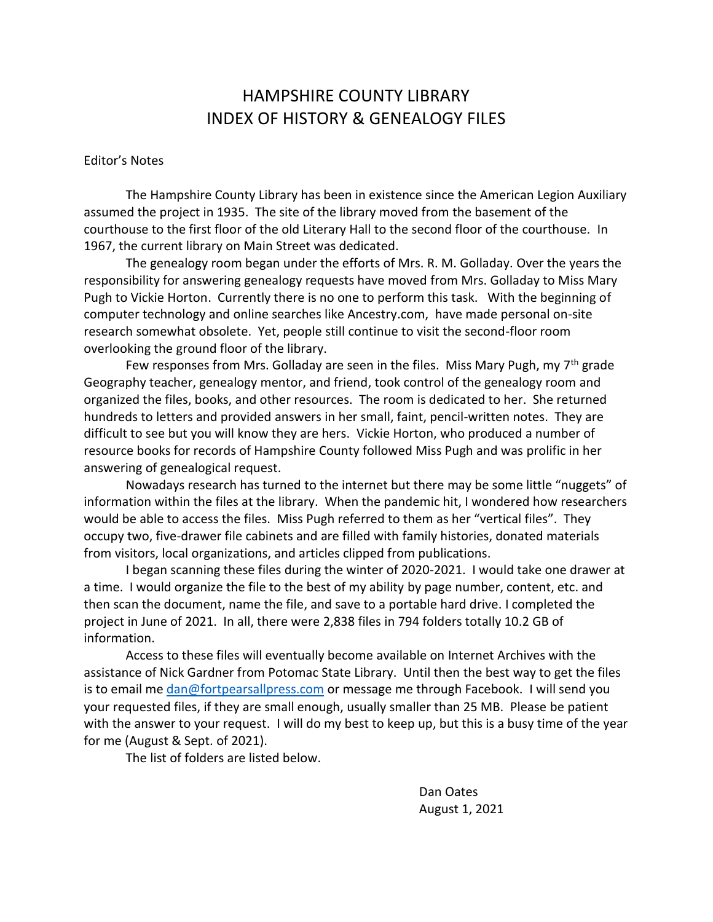# HAMPSHIRE COUNTY LIBRARY INDEX OF HISTORY & GENEALOGY FILES

# Editor's Notes

The Hampshire County Library has been in existence since the American Legion Auxiliary assumed the project in 1935. The site of the library moved from the basement of the courthouse to the first floor of the old Literary Hall to the second floor of the courthouse. In 1967, the current library on Main Street was dedicated.

The genealogy room began under the efforts of Mrs. R. M. Golladay. Over the years the responsibility for answering genealogy requests have moved from Mrs. Golladay to Miss Mary Pugh to Vickie Horton. Currently there is no one to perform this task. With the beginning of computer technology and online searches like Ancestry.com, have made personal on-site research somewhat obsolete. Yet, people still continue to visit the second-floor room overlooking the ground floor of the library.

Few responses from Mrs. Golladay are seen in the files. Miss Mary Pugh, my 7<sup>th</sup> grade Geography teacher, genealogy mentor, and friend, took control of the genealogy room and organized the files, books, and other resources. The room is dedicated to her. She returned hundreds to letters and provided answers in her small, faint, pencil-written notes. They are difficult to see but you will know they are hers. Vickie Horton, who produced a number of resource books for records of Hampshire County followed Miss Pugh and was prolific in her answering of genealogical request.

Nowadays research has turned to the internet but there may be some little "nuggets" of information within the files at the library. When the pandemic hit, I wondered how researchers would be able to access the files. Miss Pugh referred to them as her "vertical files". They occupy two, five-drawer file cabinets and are filled with family histories, donated materials from visitors, local organizations, and articles clipped from publications.

I began scanning these files during the winter of 2020-2021. I would take one drawer at a time. I would organize the file to the best of my ability by page number, content, etc. and then scan the document, name the file, and save to a portable hard drive. I completed the project in June of 2021. In all, there were 2,838 files in 794 folders totally 10.2 GB of information.

Access to these files will eventually become available on Internet Archives with the assistance of Nick Gardner from Potomac State Library. Until then the best way to get the files is to email me [dan@fortpearsallpress.com](mailto:dan@fortpearsallpress.com) or message me through Facebook. I will send you your requested files, if they are small enough, usually smaller than 25 MB. Please be patient with the answer to your request. I will do my best to keep up, but this is a busy time of the year for me (August & Sept. of 2021).

The list of folders are listed below.

Dan Oates August 1, 2021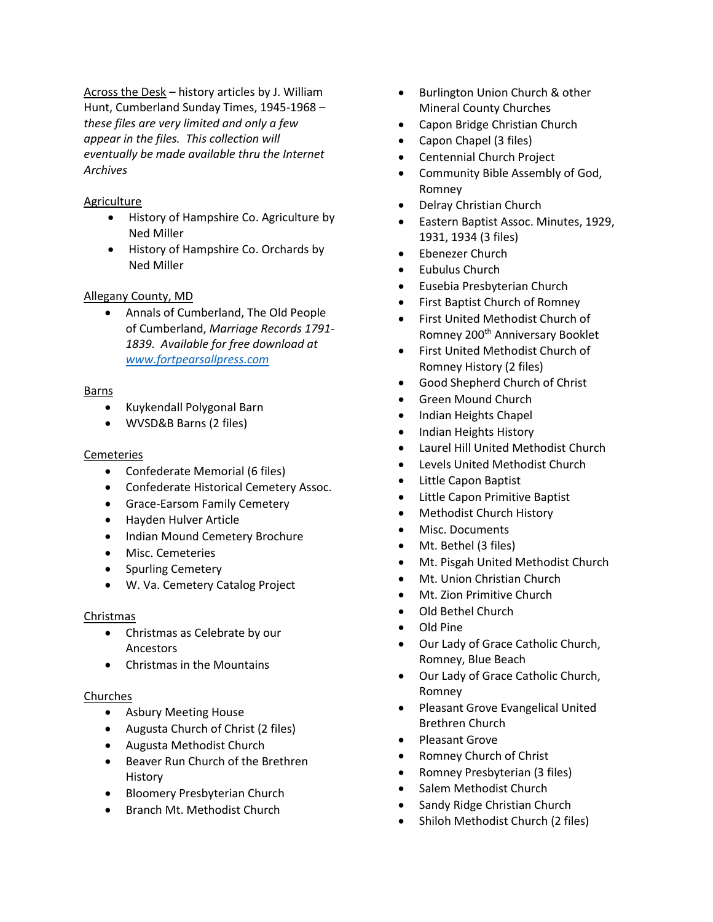Across the Desk – history articles by J. William Hunt, Cumberland Sunday Times, 1945-1968 – *these files are very limited and only a few appear in the files. This collection will eventually be made available thru the Internet Archives*

# Agriculture

- History of Hampshire Co. Agriculture by Ned Miller
- History of Hampshire Co. Orchards by Ned Miller

# Allegany County, MD

• Annals of Cumberland, The Old People of Cumberland, *Marriage Records 1791- 1839. Available for free download at [www.fortpearsallpress.com](http://www.fortpearsallpress.com/)*

# Barns

- Kuykendall Polygonal Barn
- WVSD&B Barns (2 files)

# Cemeteries

- Confederate Memorial (6 files)
- Confederate Historical Cemetery Assoc.
- Grace-Earsom Family Cemetery
- Hayden Hulver Article
- Indian Mound Cemetery Brochure
- Misc. Cemeteries
- Spurling Cemetery
- W. Va. Cemetery Catalog Project

# Christmas

- Christmas as Celebrate by our Ancestors
- Christmas in the Mountains

# Churches

- Asbury Meeting House
- Augusta Church of Christ (2 files)
- Augusta Methodist Church
- Beaver Run Church of the Brethren History
- Bloomery Presbyterian Church
- Branch Mt. Methodist Church
- Burlington Union Church & other Mineral County Churches
- Capon Bridge Christian Church
- Capon Chapel (3 files)
- Centennial Church Project
- Community Bible Assembly of God, Romney
- Delray Christian Church
- Eastern Baptist Assoc. Minutes, 1929, 1931, 1934 (3 files)
- Ebenezer Church
- Eubulus Church
- Eusebia Presbyterian Church
- First Baptist Church of Romney
- First United Methodist Church of Romney 200th Anniversary Booklet
- First United Methodist Church of Romney History (2 files)
- Good Shepherd Church of Christ
- Green Mound Church
- Indian Heights Chapel
- Indian Heights History
- Laurel Hill United Methodist Church
- Levels United Methodist Church
- Little Capon Baptist
- Little Capon Primitive Baptist
- Methodist Church History
- Misc. Documents
- Mt. Bethel (3 files)
- Mt. Pisgah United Methodist Church
- Mt. Union Christian Church
- Mt. Zion Primitive Church
- Old Bethel Church
- Old Pine
- Our Lady of Grace Catholic Church, Romney, Blue Beach
- Our Lady of Grace Catholic Church, Romney
- Pleasant Grove Evangelical United Brethren Church
- Pleasant Grove
- Romney Church of Christ
- Romney Presbyterian (3 files)
- Salem Methodist Church
- Sandy Ridge Christian Church
- Shiloh Methodist Church (2 files)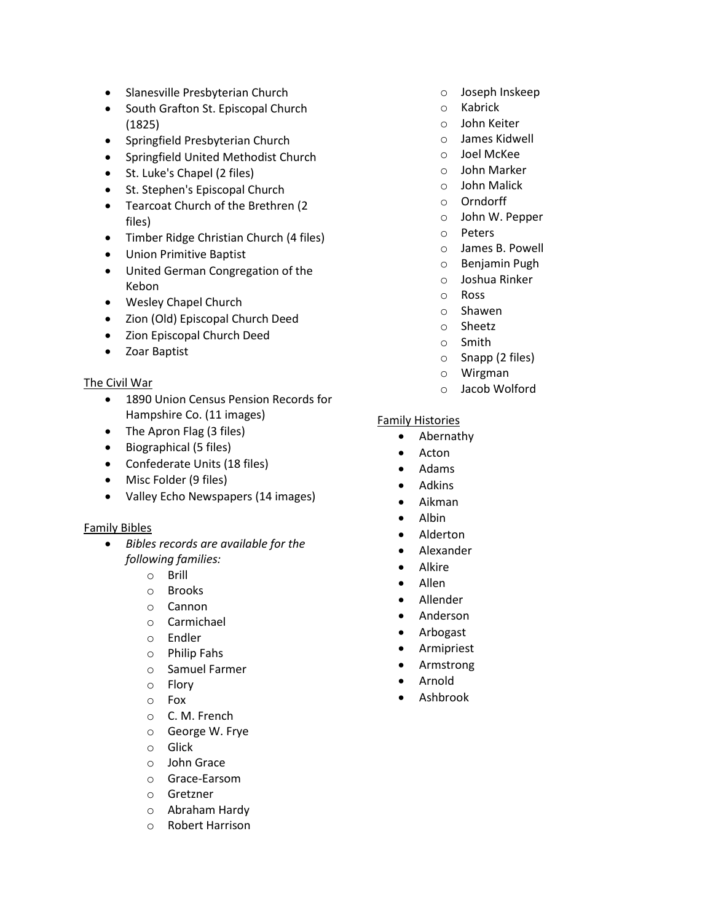- Slanesville Presbyterian Church
- South Grafton St. Episcopal Church (1825)
- Springfield Presbyterian Church
- Springfield United Methodist Church
- St. Luke's Chapel (2 files)
- St. Stephen's Episcopal Church
- Tearcoat Church of the Brethren (2 files)
- Timber Ridge Christian Church (4 files)
- Union Primitive Baptist
- United German Congregation of the Kebon
- Wesley Chapel Church
- Zion (Old) Episcopal Church Deed
- Zion Episcopal Church Deed
- Zoar Baptist

# The Civil War

- 1890 Union Census Pension Records for Hampshire Co. (11 images)
- The Apron Flag (3 files)
- Biographical (5 files)
- Confederate Units (18 files)
- Misc Folder (9 files)
- Valley Echo Newspapers (14 images)

# Family Bibles

- *Bibles records are available for the following families:* 
	- o Brill
	- o Brooks
	- o Cannon
	- o Carmichael
	- o Endler
	- o Philip Fahs
	- o Samuel Farmer
	- o Flory
	- o Fox
	- o C. M. French
	- o George W. Frye
	- o Glick
	- o John Grace
	- o Grace-Earsom
	- o Gretzner
	- o Abraham Hardy
	- o Robert Harrison
- o Joseph Inskeep
- o Kabrick
- o John Keiter
- o James Kidwell
- o Joel McKee
- o John Marker
- o John Malick
- o Orndorff
- o John W. Pepper
- o Peters
- o James B. Powell
- o Benjamin Pugh
- o Joshua Rinker
- o Ross
- o Shawen
- o Sheetz
- o Smith
- o Snapp (2 files)
- o Wirgman
- o Jacob Wolford

## Family Histories

- Abernathy
- Acton
- Adams
- Adkins
- Aikman
- Albin
- Alderton
- Alexander
- Alkire
- Allen
- Allender
- Anderson
- Arbogast
- Armipriest
- Armstrong
- Arnold
- Ashbrook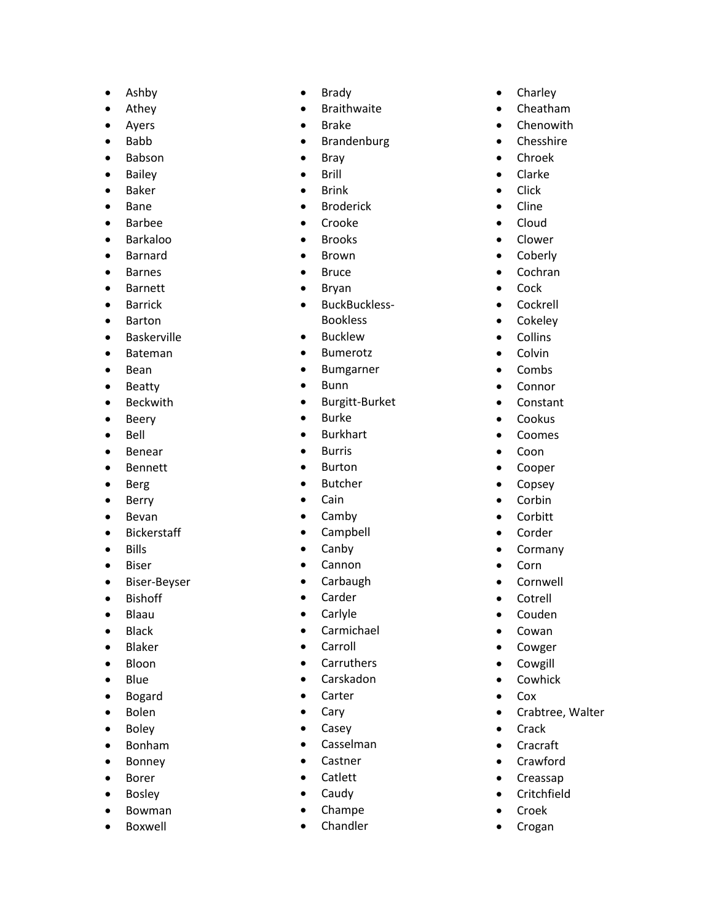- Ashby
- Athey
- Ayers
- Babb
- Babson
- Bailey
- Baker
- Bane
- Barbee
- Barkaloo
- Barnard
- Barnes
- Barnett
- Barrick
- Barton
- Baskerville
- Bateman
- Bean
- Beatty
- Beckwith
- Beery
- Bell
- Benear
- Bennett
- Berg
- Berry
- Bevan
- Bickerstaff
- Bills
- Biser
- Biser-Beyser
- Bishoff
- Blaau
- Black
- Blaker
- Bloon
- Blue
- Bogard
- Bolen
- Boley
- Bonham
- Bonney
- Borer
- Bosley
- Bowman
- Boxwell
- Brady
- **Braithwaite**
- Brake
- Brandenburg
- Bray
- Brill
- Brink
- Broderick
- Crooke
- Brooks
- Brown
- Bruce
- Bryan
- BuckBuckless Bookless
- Bucklew
- Bumerotz
- Bumgarner
- Bunn
- Burgitt-Burket
- Burke
- Burkhart
- Burris
- Burton
- Butcher
- Cain
- Camby
- Campbell
- Canby
- Cannon
- Carbaugh
- Carder
- Carlyle
- Carmichael
- Carroll
- Carruthers
- Carskadon
- Carter
- Cary
- Casey
- Casselman
- Castner
- Catlett
- Caudy
- Champe
- Chandler
- Charley
- Cheatham
- Chenowith
- Chesshire
- Chroek
- Clarke
- Click
- Cline
- Cloud • Clower

• Coberly • Cochran • Cock • Cockrell • Cokeley • Collins • Colvin • Combs • Connor • Constant • Cookus • Coomes • Coon • Cooper • Copsey • Corbin • Corbitt • Corder • Cormany • Corn • Cornwell • Cotrell • Couden • Cowan • Cowger • Cowgill • Cowhick • Cox

• Crabtree, Walter

• Crack • Cracraft • Crawford • Creassap • Critchfield • Croek • Crogan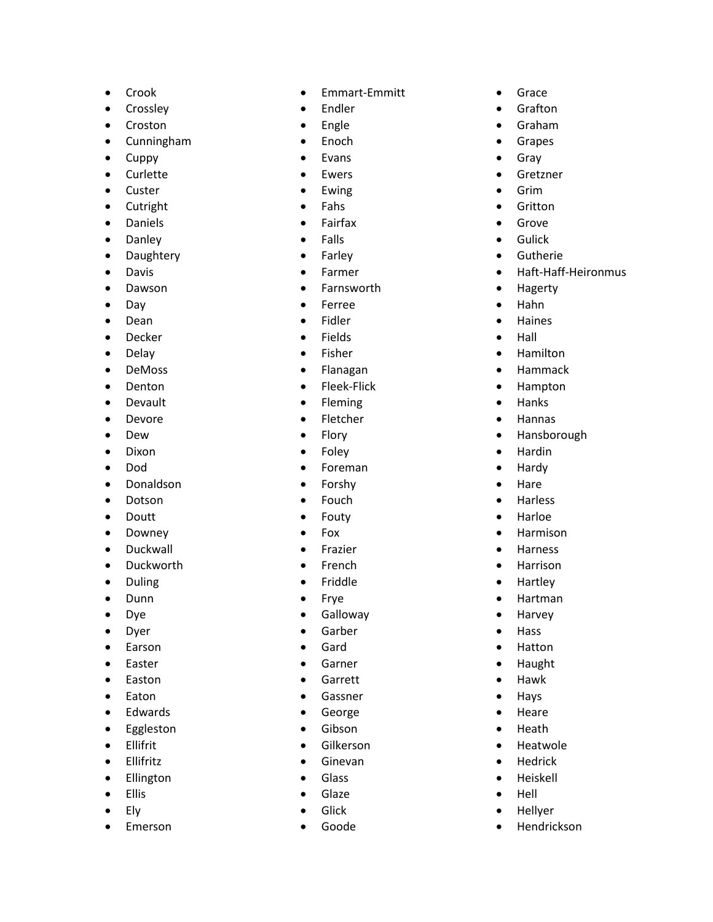- Crook
- Crossley
- Croston
- Cunningham
- Cuppy
- Curlette
- Custer
- Cutright
- Daniels
- Danley
- Daughtery
- Davis
- Dawson
- Day
- Dean
- Decker
- Delay
- DeMoss
- Denton
- Devault
- Devore
- Dew
- Dixon
- Dod
- Donaldson
- Dotson
- Doutt
- Downey
- Duckwall
- Duckworth
- Duling
- Dunn
- Dye
- Dyer
- Earson
- Easter
- Easton
- Eaton
- Edwards
- Eggleston
- Ellifrit
- Ellifritz
- Ellington
- Ellis
- Ely
- Emerson
- Emmart -Emmitt
- Endler
- Engle
- Enoch
- Evans
- Ewers
- Ewing
- Fahs
- Fairfax
- Falls
- Farley
- Farmer
- Farnsworth
- Ferree
- Fidler
- Fields
- Fisher
- Flanagan
- Fleek-Flick
- Fleming
- Fletcher
- Flory
- Foley
- Foreman
- Forshy
- Fouch
- Fouty
- Fox
- Frazier
- French
- Friddle
- Frye
- Galloway
- Garber
- Gard
- Garner
- Garrett
- Gassner
- George
- Gibson
- Gilkerson
- Ginevan
- Glass
- Glaze
- Glick
- Goode
- Grace
- Grafton
- Graham
- Grapes
- Gray
- Gretzner
- Grim
- Gritton • Grove

• Gulick • Gutherie

• Hagerty • Hahn • Haines • Hall • Hamilton • Hammack • Hampton • Hanks • Hannas

• Hansborough

• Hardin • Hardy • Hare • Harless • Harloe • Harmison • Harness • Harrison • Hartley • Hartman • Harvey • Hass • Hatton • Haught • Hawk • Hays • Heare • Heath • Heatwole **Hedrick** • Heiskell • Hell • Hellyer • Hendrickson

• Haft-Haff -Heironmus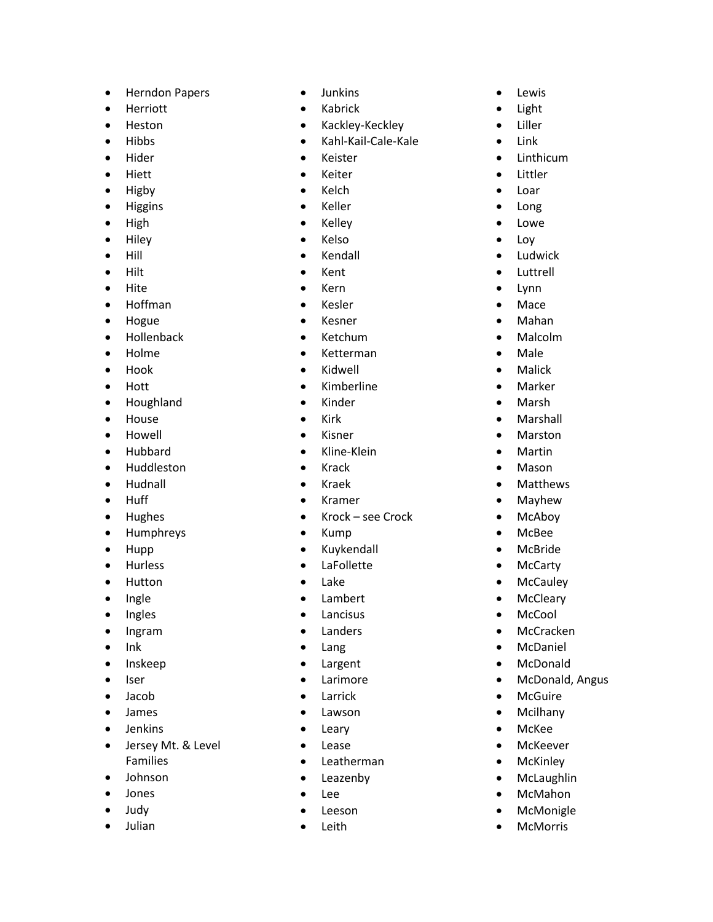- Herndon Papers
- Herriott
- Heston
- Hibbs
- Hider
- Hiett
- Higby
- Higgins
- High
- Hiley
- Hill
- Hilt
- Hite
- Hoffman
- Hogue
- Hollenback
- Holme
- Hook
- Hott
- Houghland
- House
- Howell
- Hubbard
- Huddleston
- Hudnall
- Huff
- Hughes
- Humphreys
- Hupp
- Hurless
- Hutton
- Ingle
- Ingles
- Ingram
- Ink
- Inskeep
- Iser
- Jacob
- James
- Jenkins
- Jersey Mt. & Level Families
- Johnson
- Jones
- Judy
- Julian
- Junkins
- Kabrick
- Kackley -Keckley
- Kahl-Kail-Cale-Kale
- Keister
- Keiter
- Kelch
- Keller
- Kelley
- Kelso
- Kendall
- Kent
- Kern
- Kesler
- Kesner
- Ketchum
- Ketterman
- Kidwell
- Kimberline
- Kinder
- Kirk
- Kisner
- Kline-Klein
- Krack
- Kraek
- Kramer
- Krock see Crock
- Kump
- Kuykendall
- LaFollette
- Lake
- Lambert
- Lancisus
- Landers
- Lang
- Largent
- Larimore
- Larrick
- Lawson
- Leary
- Lease
- Leatherman
- Leazenby
- Lee
- Leeson
- Leith
- Lewis
- Light
- Liller
- Link
- Linthicum
- Littler
- Loar
- Long
- Lowe

• Loy **Ludwick** • Luttrell • Lynn • Mace • Mahan • Malcolm • Male • Malick • Marker • Marsh • Marshall • Marston • Martin • Mason • Matthews • Mayhew • McAboy • McBee • McBride • McCarty • McCauley • McCleary • McCool • McCracken • McDaniel • McDonald

• McDonald, Angus

• McGuire • Mcilhany • McKee • McKeever • McKinley • McLaughlin • McMahon • McMonigle • McMorris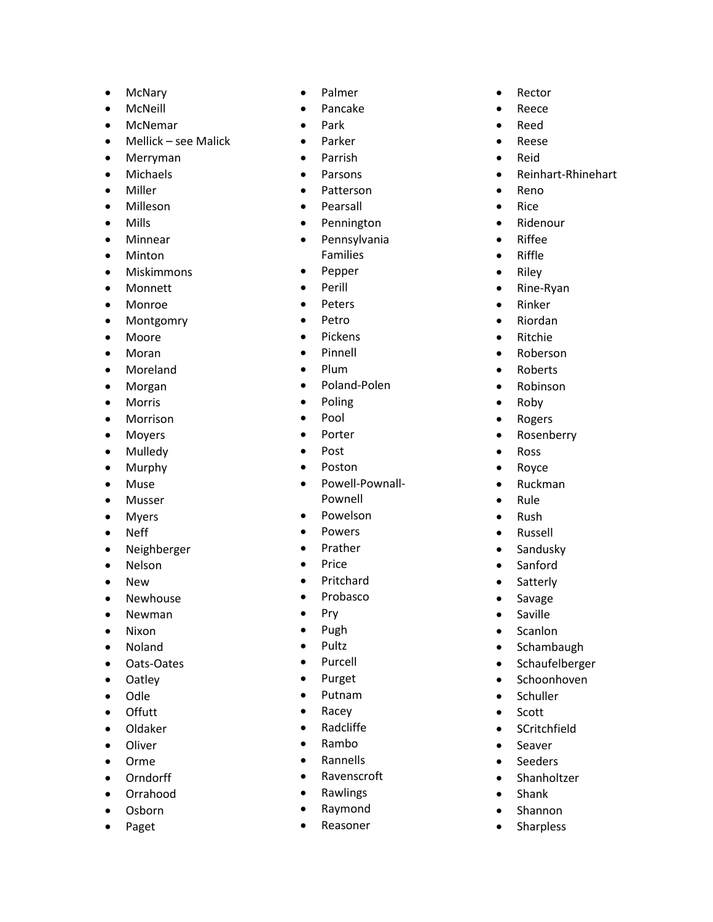- McNary
- McNeill
- McNemar
- Mellick see Malick
- Merryman
- Michaels
- Miller
- Milleson
- Mills
- Minnear
- Minton
- Miskimmons
- Monnett
- Monroe
- Montgomry
- Moore
- Moran
- Moreland
- Morgan
- Morris
- Morrison
- Moyers
- Mulledy
- Murphy
- Muse
- Musser
- Myers
- Neff
- Neighberger
- Nelson
- New
- Newhouse
- Newman
- Nixon
- Noland
- Oats-Oates
- Oatley
- Odle
- Offutt
- Oldaker
- Oliver
- Orme
- Orndorff
- Orrahood
- Osborn
- Paget
- Palmer
- Pancake
- Park
- Parker
- Parrish
- Parsons
- Patterson
- Pearsall
- Pennington
- Pennsylvania Families
- Pepper
- Perill
- Peters
- Petro
- Pickens
- Pinnell
- Plum
- Poland-Polen
- Poling
- Pool
- Porter
- Post
- Poston
- Powell-Pownall-Pownell
- Powelson
- Powers
- Prather
- Price
- Pritchard
- Probasco
- Pry
- Pugh
- Pultz
- Purcell
- Purget
- Putnam
- Racey
- Radcliffe
- Rambo
- Rannells
- Ravenscroft
- **Rawlings**
- Raymond
- Reasoner
- Rector
- Reece
- Reed
- Reese
- Reid
- Reinhart -Rhinehart
- Reno
- Rice
- Ridenour
- Riffee • Riffle

• Riley • Rine-Ryan • Rinker • Riordan • Ritchie • Roberson • Roberts • Robinson • Roby • Rogers • Rosenberry

• Ross • Royce • Ruckman • Rule • Rush • Russell • Sandusky • Sanford • Satterly • Savage • Saville • Scanlon • Schambaugh • Schaufelberger • Schoonhoven • Schuller • Scott • SCritchfield • Seaver **Seeders** • Shanholtzer • Shank • Shannon • Sharpless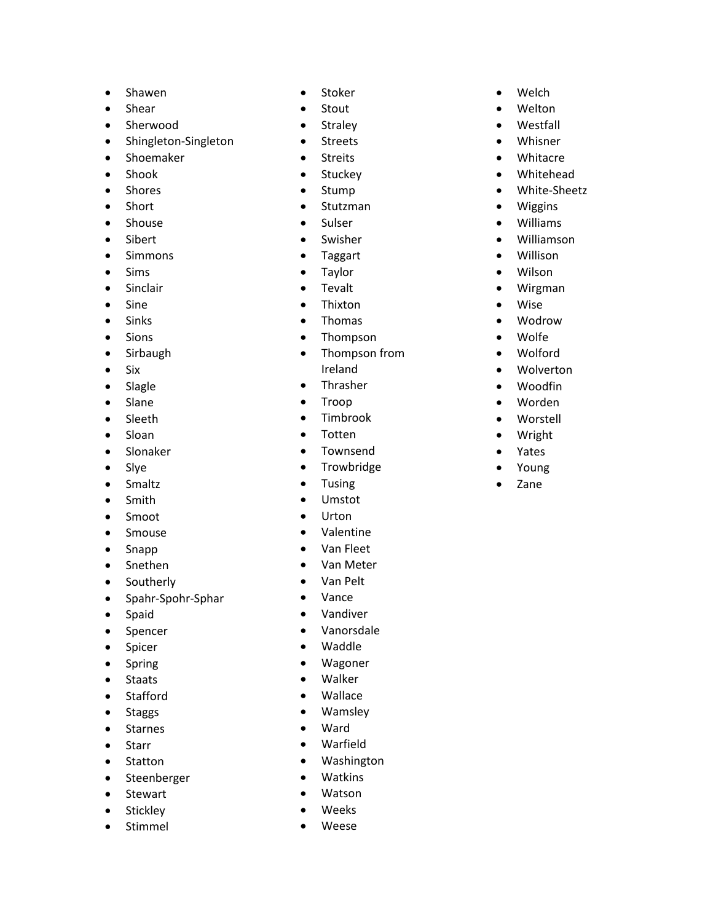- Shawen
- Shear
- Sherwood
- Shingleton-Singleton
- Shoemaker
- Shook
- Shores
- Short
- Shouse
- Sibert
- Simmons
- Sims
- Sinclair
- Sine
- Sinks
- Sions
- Sirbaugh
- Six
- Slagle
- Slane
- Sleeth
- Sloan
- Slonaker
- Slye
- Smaltz
- Smith
- Smoot
- Smouse
- Snapp
- Snethen
- Southerly
- Spahr-Spohr-Sphar
- Spaid
- Spencer
- Spicer
- Spring
- Staats
- Stafford
- Staggs
- Starnes
- Starr
- Statton
- Steenberger
- Stewart
- Stickley
- Stimmel
- Stoker
- Stout
- Straley
- Streets
- Streits
- Stuckey
- Stump
- Stutzman
- Sulser
- Swisher
- Taggart
- Taylor
- Tevalt
- Thixton
- Thomas
- Thompson
- Thompson from Ireland
- Thrasher
- Troop
- Timbrook
- Totten
- Townsend
- Trowbridge
- Tusing
- Umstot
- Urton
- Valentine
- Van Fleet
- Van Meter
- Van Pelt
- Vance
- Vandiver
- Vanorsdale
- Waddle
- Wagoner
- Walker
- Wallace
- Wamsley
- Ward
- Warfield
- Washington
- Watkins
- Watson
- Weeks
- Weese
- Welch
- Welton
- Westfall
- Whisner
- Whitacre
- Whitehead
- White-Sheetz

• Williamson • Willison • Wilson • Wirgman • Wise • Wodrow • Wolfe • Wolford • Wolverton • Woodfin • Worden • Worstell • Wright • Yates • Young • Zane

- Wiggins
- Williams